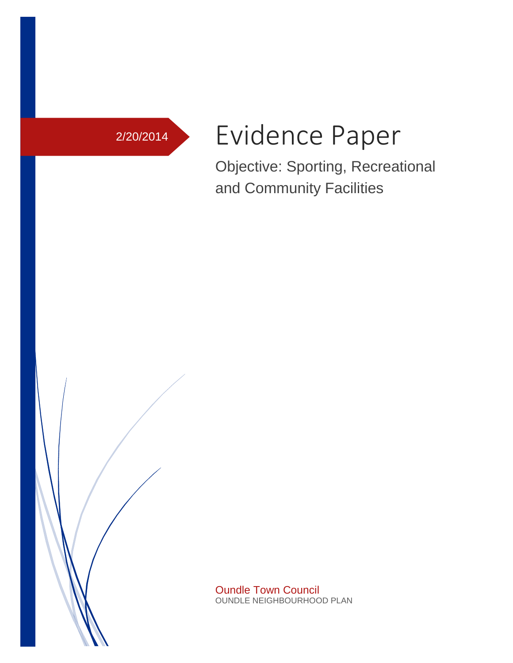## 2/20/2014 Evidence Paper

Objective: Sporting, Recreational and Community Facilities

Oundle Town Council OUNDLE NEIGHBOURHOOD PLAN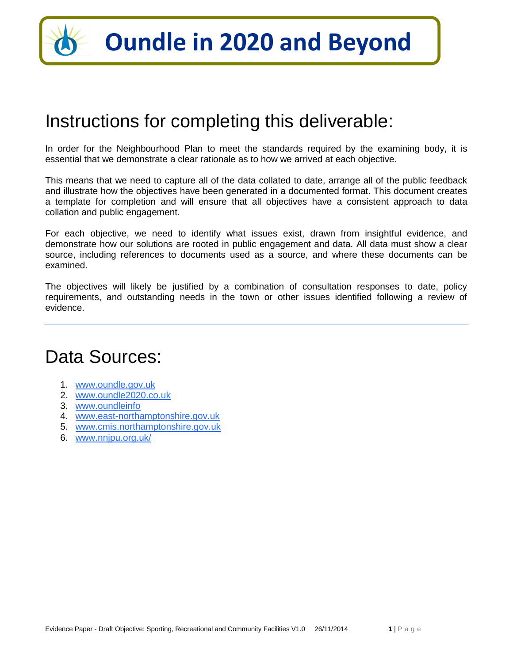

### **Plan** Instructions for completing this deliverable:

In order for the Neighbourhood Plan to meet the standards required by the examining body, it is essential that we demonstrate a clear rationale as to how we arrived at each objective.

This means that we need to capture all of the data collated to date, arrange all of the public feedback and illustrate how the objectives have been generated in a documented format. This document creates a template for completion and will ensure that all objectives have a consistent approach to data collation and public engagement.

For each objective, we need to identify what issues exist, drawn from insightful evidence, and demonstrate how our solutions are rooted in public engagement and data. All data must show a clear source, including references to documents used as a source, and where these documents can be examined.

The objectives will likely be justified by a combination of consultation responses to date, policy requirements, and outstanding needs in the town or other issues identified following a review of evidence.

### Data Sources:

- 1. [www.oundle.gov.uk](http://www.oundle.gov.uk/)
- 2. [www.oundle2020.co.uk](http://www.oundle2020.co.uk/)
- 3. [www.oundleinfo](http://www.oundleinfo/)
- 4. [www.east-northamptonshire.gov.uk](http://www.east-northamptonshire.gov.uk/)
- 5. [www.cmis.northamptonshire.gov.uk](http://www.cmis.northamptonshire.gov.uk/)
- 6. [www.nnjpu.org.uk/](http://www.nnjpu.org.uk/)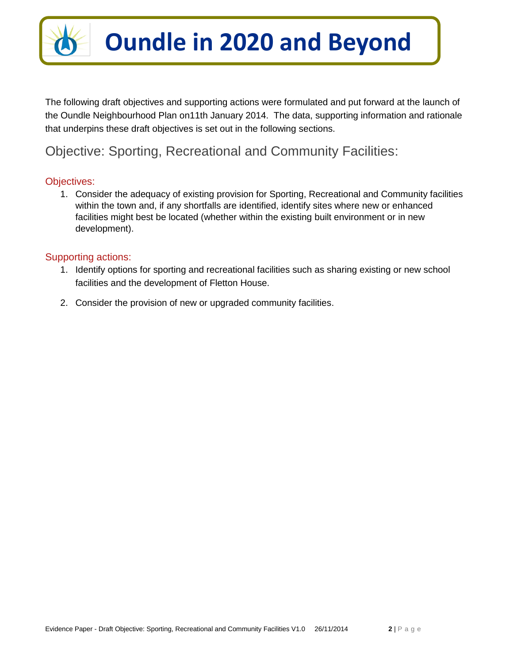

The following draft objectives and supporting actions were formulated and put forward at the launch of the Oundle Neighbourhood Plan on11th January 2014. The data, supporting information and rationale that underpins these draft objectives is set out in the following sections.

### Objective: Sporting, Recreational and Community Facilities:

#### Objectives:

1. Consider the adequacy of existing provision for Sporting, Recreational and Community facilities within the town and, if any shortfalls are identified, identify sites where new or enhanced facilities might best be located (whether within the existing built environment or in new development).

#### Supporting actions:

- 1. Identify options for sporting and recreational facilities such as sharing existing or new school facilities and the development of Fletton House.
- 2. Consider the provision of new or upgraded community facilities.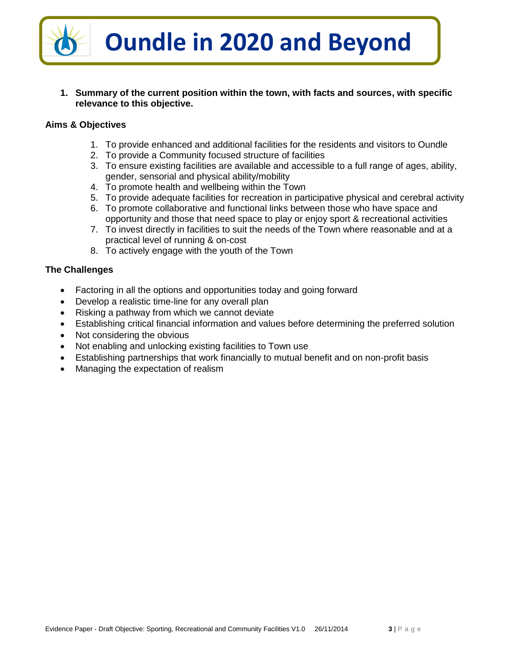

1. Summary of the current position within the town, with facts and sources, with specific **Plan relevance to this objective.**

#### **Aims & Objectives**

- 1. To provide enhanced and additional facilities for the residents and visitors to Oundle
- 2. To provide a Community focused structure of facilities
- 3. To ensure existing facilities are available and accessible to a full range of ages, ability, gender, sensorial and physical ability/mobility
- 4. To promote health and wellbeing within the Town
- 5. To provide adequate facilities for recreation in participative physical and cerebral activity
- 6. To promote collaborative and functional links between those who have space and opportunity and those that need space to play or enjoy sport & recreational activities
- 7. To invest directly in facilities to suit the needs of the Town where reasonable and at a practical level of running & on-cost
- 8. To actively engage with the youth of the Town

#### **The Challenges**

- Factoring in all the options and opportunities today and going forward
- Develop a realistic time-line for any overall plan
- Risking a pathway from which we cannot deviate
- Establishing critical financial information and values before determining the preferred solution
- Not considering the obvious
- Not enabling and unlocking existing facilities to Town use
- Establishing partnerships that work financially to mutual benefit and on non-profit basis
- Managing the expectation of realism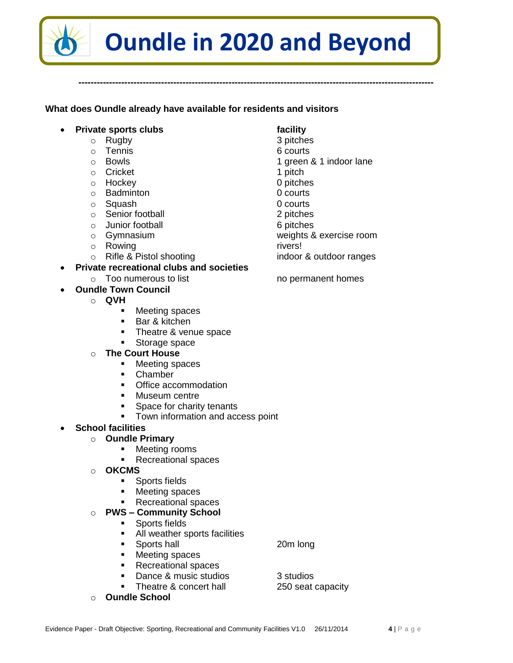

**Supported by our Neighbourhood** 

**--------------------------------------------------------------------------------------------------------------------**

### **Plan What does Oundle already have available for residents and visitors**

- **Private sports clubs facility** 
	- o Rugby 3 pitches
	- o Tennis 6 courts
	- o Bowls 2008 1 green & 1 indoor lane
	- o Cricket 1 pitch
	- o Hockey **0 pitches**
	- o Badminton 0 courts
	- o Squash 0 courts
	- o Senior football 2 pitches
	- o Junior football 6 pitches
	-
	- o Rowing and the contract of the contract of the contract of the contract of the contract of the contract of the contract of the contract of the contract of the contract of the contract of the contract of the contract of t
	- o Rifle & Pistol shooting indoor & outdoor ranges

#### **Private recreational clubs and societies**

- o Too numerous to list no permanent homes
- **Oundle Town Council**
	- o **QVH**
		- **Meeting spaces**
		- **Bar & kitchen**
		- Theatre & venue space
		- **Storage space**
	- o **The Court House**
		- **Neeting spaces**
		- Chamber
		- Office accommodation
		- **Museum centre**
		- **Space for charity tenants**
		- **Town information and access point**

#### **School facilities**

- o **Oundle Primary**
	- Meeting rooms
	- Recreational spaces
- o **OKCMS**
	- **Sports fields**
	- Meeting spaces
	- Recreational spaces
- o **PWS – Community School**
	- **Sports fields**
	- All weather sports facilities
	- Sports hall 20m long
	- **Meeting spaces**
	- Recreational spaces
	- **Dance & music studios** 3 studios
	- Theatre & concert hall 250 seat capacity
- o **Oundle School**
- 
- -
- 
- 
- 
- 
- 
- 
- 
- o Gymnasium weights & exercise room
	-
	-

- 
- 
-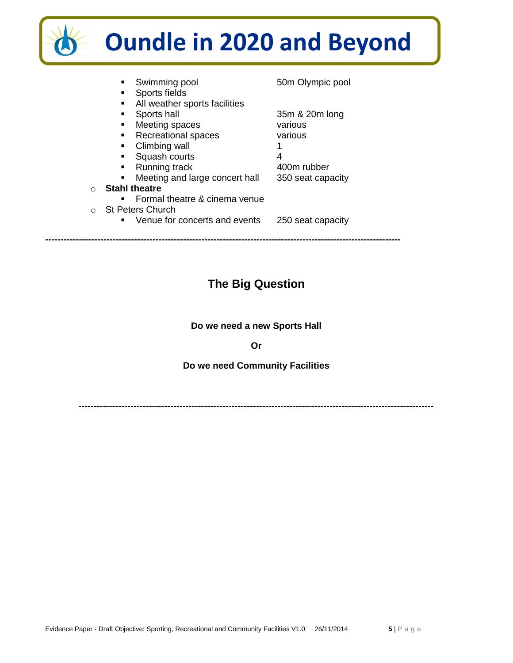

|          | Swimming pool<br>Sports fields<br>٠<br>All weather sports facilities<br>Sports hall<br>Meeting spaces<br>٠<br><b>Recreational spaces</b><br>Climbing wall<br>Squash courts | 50m Olympic pool<br>35m & 20m long<br>various<br>various<br>4 |
|----------|----------------------------------------------------------------------------------------------------------------------------------------------------------------------------|---------------------------------------------------------------|
|          | Running track<br>Meeting and large concert hall                                                                                                                            | 400m rubber<br>350 seat capacity                              |
| $\circ$  | <b>Stahl theatre</b><br>Formal theatre & cinema venue                                                                                                                      |                                                               |
| $\Omega$ | <b>St Peters Church</b><br>• Venue for concerts and events                                                                                                                 | 250 seat capacity                                             |
|          |                                                                                                                                                                            |                                                               |

### **The Big Question**

**Do we need a new Sports Hall**

**Or**

**Do we need Community Facilities**

**--------------------------------------------------------------------------------------------------------------------**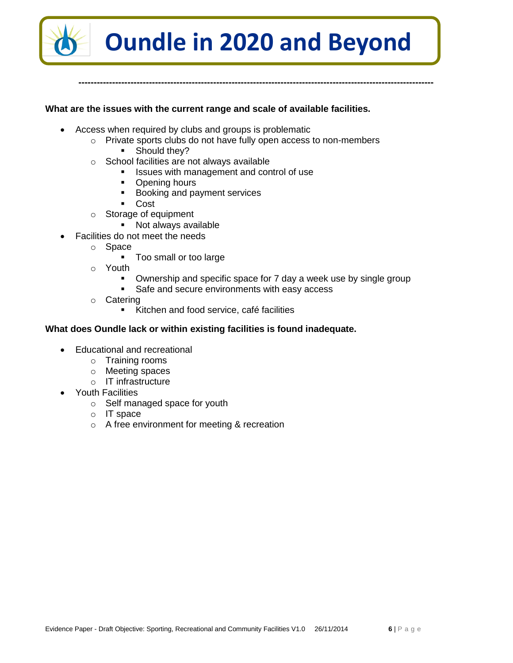

**Supported by our Neighbourhood** 

**--------------------------------------------------------------------------------------------------------------------**

### **Plan What are the issues with the current range and scale of available facilities.**

- Access when required by clubs and groups is problematic
	- o Private sports clubs do not have fully open access to non-members • Should they?
	- o School facilities are not always available
		- **ISSUES with management and control of use**
		- Opening hours
		- **Booking and payment services**
		- Cost
	- o Storage of equipment
		- **Not always available**
- Facilities do not meet the needs
	- o Space
		- **Too small or too large**
	- o Youth
		- Ownership and specific space for 7 day a week use by single group
		- Safe and secure environments with easy access
	- o Catering
		- Kitchen and food service, café facilities

#### **What does Oundle lack or within existing facilities is found inadequate.**

- Educational and recreational
	- o Training rooms
	- o Meeting spaces
	- o IT infrastructure
- Youth Facilities
	- o Self managed space for youth
	- o IT space
	- o A free environment for meeting & recreation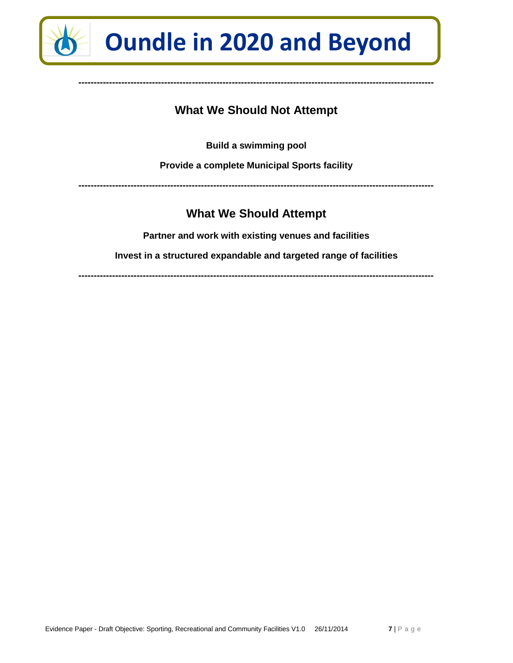

#### **What We Should Not Attempt**

**Supported by our Neighbourhood --------------------------------------------------------------------------------------------------------------------**

**Build a swimming pool**

**Provide a complete Municipal Sports facility**

**--------------------------------------------------------------------------------------------------------------------**

#### **What We Should Attempt**

**Partner and work with existing venues and facilities**

**Invest in a structured expandable and targeted range of facilities**

**--------------------------------------------------------------------------------------------------------------------**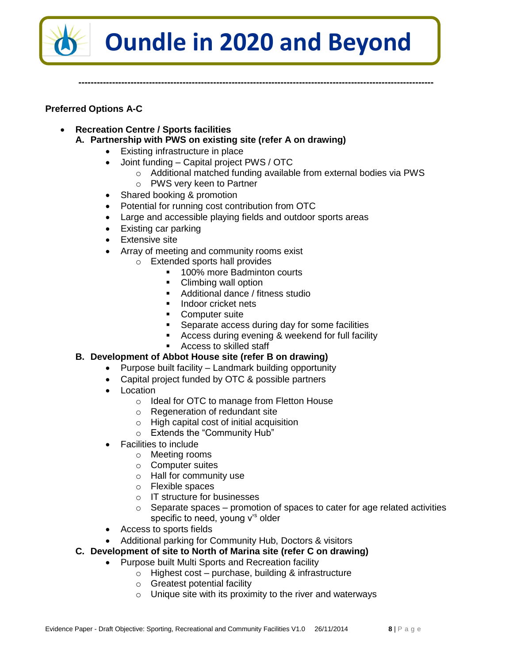

**Supported by our Neighbourhood** 

**--------------------------------------------------------------------------------------------------------------------**

### **Plan Preferred Options A-C**

- **Recreation Centre / Sports facilities**
	- **A. Partnership with PWS on existing site (refer A on drawing)**
		- Existing infrastructure in place
		- Joint funding Capital project PWS / OTC
			- o Additional matched funding available from external bodies via PWS
			- o PWS very keen to Partner
		- Shared booking & promotion
		- Potential for running cost contribution from OTC
		- Large and accessible playing fields and outdoor sports areas
		- Existing car parking
		- **•** Extensive site
		- Array of meeting and community rooms exist
			- o Extended sports hall provides
				- 100% more Badminton courts
				- Climbing wall option
				- **Additional dance / fitness studio**
				- Indoor cricket nets
				- Computer suite
				- Separate access during day for some facilities
				- Access during evening & weekend for full facility
				- Access to skilled staff

#### **B. Development of Abbot House site (refer B on drawing)**

- Purpose built facility Landmark building opportunity
- Capital project funded by OTC & possible partners
- Location
	- o Ideal for OTC to manage from Fletton House
	- o Regeneration of redundant site
	- o High capital cost of initial acquisition
	- o Extends the "Community Hub"
- Facilities to include
	- o Meeting rooms
	- o Computer suites
	- o Hall for community use
	- o Flexible spaces
	- o IT structure for businesses
	- $\circ$  Separate spaces promotion of spaces to cater for age related activities specific to need, young v'<sup>s</sup> older
- Access to sports fields
- Additional parking for Community Hub, Doctors & visitors
- **C. Development of site to North of Marina site (refer C on drawing)**
- Purpose built Multi Sports and Recreation facility
	- $\circ$  Highest cost purchase, building & infrastructure
	- o Greatest potential facility
	- o Unique site with its proximity to the river and waterways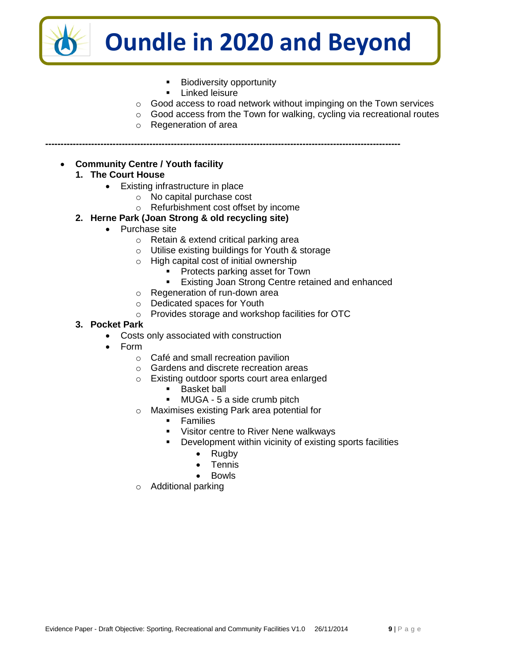

- **Biodiversity opportunity**<br> **Support Linked loisure** 
	- **E** Linked leisure
	- o Good access to road network without impinging on the Town services
- **Plan** o Good access from the Town for walking, cycling via recreational routes
	- o Regeneration of area

**--------------------------------------------------------------------------------------------------------------------**

#### **Community Centre / Youth facility**

#### **1. The Court House**

- Existing infrastructure in place
	- o No capital purchase cost
	- o Refurbishment cost offset by income

#### **2. Herne Park (Joan Strong & old recycling site)**

- Purchase site
	- o Retain & extend critical parking area
	- o Utilise existing buildings for Youth & storage
	- o High capital cost of initial ownership
		- **Protects parking asset for Town**
		- Existing Joan Strong Centre retained and enhanced
	- o Regeneration of run-down area
	- o Dedicated spaces for Youth
	- o Provides storage and workshop facilities for OTC

#### **3. Pocket Park**

- Costs only associated with construction
- Form
	- o Café and small recreation pavilion
	- o Gardens and discrete recreation areas
	- o Existing outdoor sports court area enlarged
		- Basket ball
		- **MUGA 5 a side crumb pitch**
	- o Maximises existing Park area potential for
		- **Families**
		- Visitor centre to River Nene walkways
		- Development within vicinity of existing sports facilities
			- Rugby
			- **Tennis**
			- Bowls
	- o Additional parking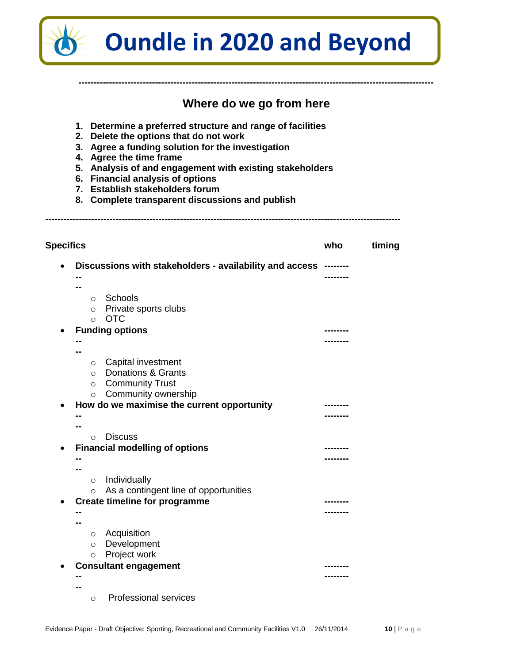

#### **Where do we go from here**

**Supported by our Neighbourhood --------------------------------------------------------------------------------------------------------------------**

- **1. Determine a preferred structure and range of facilities**
- **2. Delete the options that do not work**
- **3. Agree a funding solution for the investigation**
- **4. Agree the time frame**
- **5. Analysis of and engagement with existing stakeholders**
- **6. Financial analysis of options**
- **7. Establish stakeholders forum**
- **8. Complete transparent discussions and publish**

**--------------------------------------------------------------------------------------------------------------------**

| <b>Specifics</b> |                                                                                                                                                                                                  | who      | timing |
|------------------|--------------------------------------------------------------------------------------------------------------------------------------------------------------------------------------------------|----------|--------|
| $\bullet$        | Discussions with stakeholders - availability and access<br>--                                                                                                                                    |          |        |
|                  | Schools<br>$\circ$<br>Private sports clubs<br>$\circ$<br><b>OTC</b><br>$\circ$                                                                                                                   |          |        |
| $\bullet$        | <b>Funding options</b>                                                                                                                                                                           |          |        |
|                  |                                                                                                                                                                                                  | -------- |        |
| $\bullet$        | Capital investment<br>$\circ$<br><b>Donations &amp; Grants</b><br>$\Omega$<br><b>Community Trust</b><br>$\Omega$<br>Community ownership<br>$\circ$<br>How do we maximise the current opportunity |          |        |
|                  | --                                                                                                                                                                                               |          |        |
| $\bullet$        | <b>Discuss</b><br>$\circ$<br><b>Financial modelling of options</b>                                                                                                                               | -------- |        |
| ٠                | Individually<br>$\circ$<br>As a contingent line of opportunities<br>$\circ$<br><b>Create timeline for programme</b><br>--                                                                        | ------   |        |
|                  | Acquisition<br>$\circ$<br>Development<br>$\circ$<br>Project work<br>$\circ$                                                                                                                      |          |        |
| $\bullet$        | <b>Consultant engagement</b>                                                                                                                                                                     |          |        |
|                  |                                                                                                                                                                                                  | -------- |        |
|                  | <b>Professional services</b><br>$\circ$                                                                                                                                                          |          |        |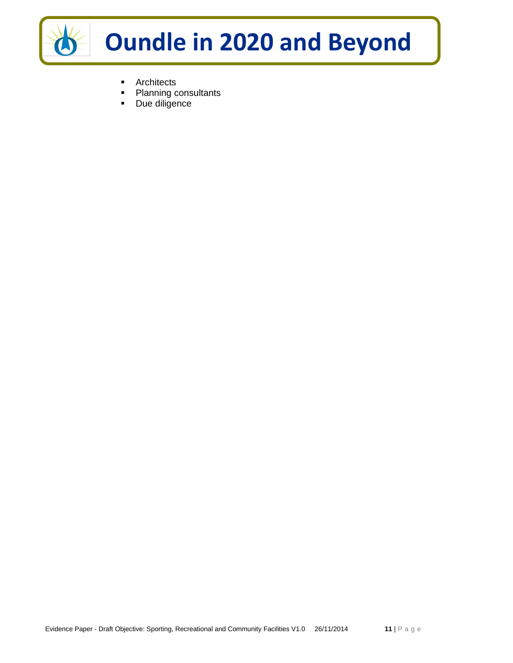

- **-** Architects
- Architects<br>■ Planning consultants
- **Plane** Due diligence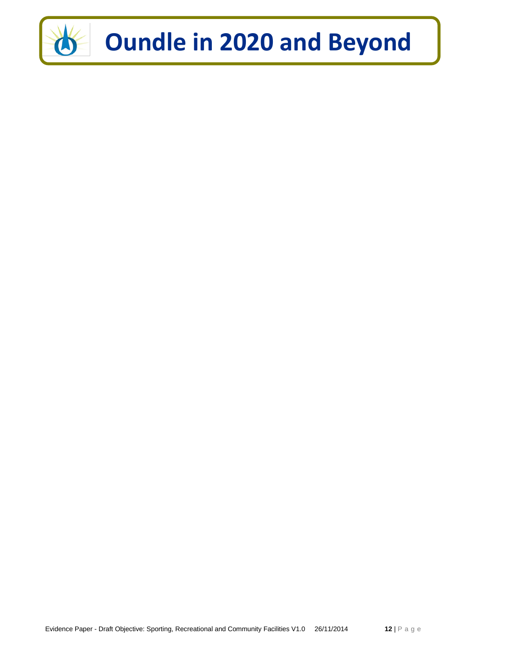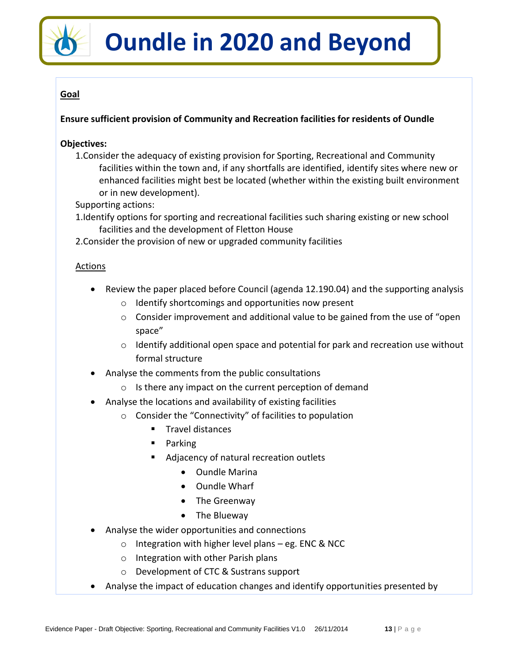

#### **Goal**

#### **Plan Ensure sufficient provision of Community and Recreation facilities for residents of Oundle**

**Supported by our Neighbourhood** 

#### **Objectives:**

1.Consider the adequacy of existing provision for Sporting, Recreational and Community facilities within the town and, if any shortfalls are identified, identify sites where new or enhanced facilities might best be located (whether within the existing built environment or in new development).

#### Supporting actions:

- 1.Identify options for sporting and recreational facilities such sharing existing or new school facilities and the development of Fletton House
- 2.Consider the provision of new or upgraded community facilities

#### **Actions**

- Review the paper placed before Council (agenda 12.190.04) and the supporting analysis
	- o Identify shortcomings and opportunities now present
	- o Consider improvement and additional value to be gained from the use of "open space"
	- o Identify additional open space and potential for park and recreation use without formal structure
- Analyse the comments from the public consultations
	- o Is there any impact on the current perception of demand
- Analyse the locations and availability of existing facilities
	- o Consider the "Connectivity" of facilities to population
		- **Travel distances**
		- **Parking**
		- Adjacency of natural recreation outlets
			- Oundle Marina
			- Oundle Wharf
			- The Greenway
			- The Blueway
- Analyse the wider opportunities and connections
	- $\circ$  Integration with higher level plans eg. ENC & NCC
	- o Integration with other Parish plans
	- Development of CTC & Sustrans support
- Analyse the impact of education changes and identify opportunities presented by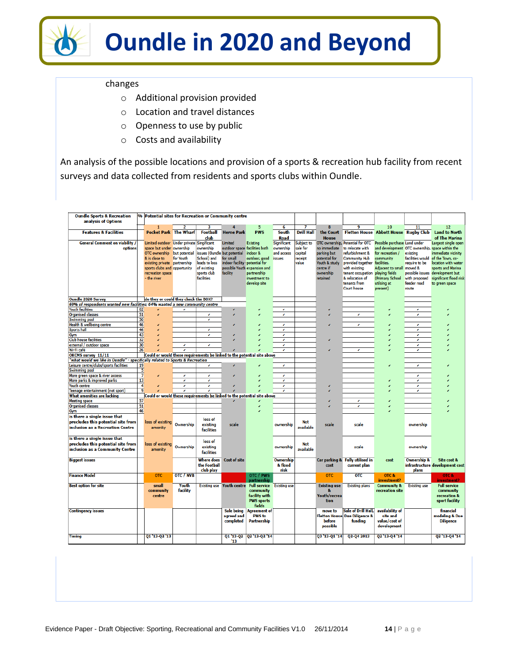

#### **Supported by our Neighbourhood**  $\mathbb{R}$  and  $\mathbb{R}$  and  $\mathbb{R}$  and  $\mathbb{R}$  and  $\mathbb{R}$  and  $\mathbb{R}$  and  $\mathbb{R}$  and  $\mathbb{R}$  and  $\mathbb{R}$  and  $\mathbb{R}$  and  $\mathbb{R}$  and  $\mathbb{R}$  and  $\mathbb{R}$  and  $\mathbb{R}$  and  $\mathbb{R}$ changes

- o Additional provision provided
- **Plan** o Location and travel distances
	- o Openness to use by public
	- o Costs and availability

An analysis of the possible locations and provision of a sports & recreation hub facility from recent surveys and data collected from residents and sports clubs within Oundle.

| <b>Oundle Sports &amp; Recreation</b><br>analysis of Options                 |                 | % Potential sites for Recreation or Community centre                                                                         |                            |                                                                                          |                                                         |                                                                                                            |                                                  |                                                       |                                                               |                                                                                                                      |                                                                                                                                 |                                                                     |                                                                                      |
|------------------------------------------------------------------------------|-----------------|------------------------------------------------------------------------------------------------------------------------------|----------------------------|------------------------------------------------------------------------------------------|---------------------------------------------------------|------------------------------------------------------------------------------------------------------------|--------------------------------------------------|-------------------------------------------------------|---------------------------------------------------------------|----------------------------------------------------------------------------------------------------------------------|---------------------------------------------------------------------------------------------------------------------------------|---------------------------------------------------------------------|--------------------------------------------------------------------------------------|
|                                                                              |                 | $\mathbf{1}$                                                                                                                 |                            | з                                                                                        | 4                                                       | 5                                                                                                          | 6                                                | 7                                                     | 8                                                             | ٩                                                                                                                    | 10                                                                                                                              | 11                                                                  | 12                                                                                   |
| <b>Features &amp; Facilities</b>                                             |                 | <b>Pocket Park The Wharf</b>                                                                                                 |                            | <b>Football</b><br>club                                                                  | <b>Herne Park</b>                                       | <b>PWS</b>                                                                                                 | South<br>Road                                    | <b>Drill Hall</b>                                     | the Court<br><b>House</b>                                     |                                                                                                                      | <b>Fletton House Abbott House Rugby Club</b>                                                                                    |                                                                     | <b>Land to North</b><br>of The Marina                                                |
| <b>General Comment on viability</b><br>options                               |                 | Limited outdoor Under private<br>space but under ownership<br>OTC ownership<br>& is close to<br>existing private partnership | but potential<br>for Youth | Singificant<br>ownership<br>issues (Oundle but potential<br>School) and<br>leads to loss | Limited<br>for small<br>indoor facility - potential for | <b>Existing</b><br>outdoor space facilities both<br>indoor &<br>outdoor, good                              | Significant<br>ownership<br>and access<br>issues | Subject to<br>sale for<br>capital<br>receipt<br>value | no immediate<br>parking but<br>potential for<br>Youth & study | OTC ownership, Potential for OTC<br>to relocate with<br>refurbishment &<br><b>Community Hub</b><br>provided together | Possible purchase Land under<br>and development OTC ownership, space within the<br>for recreation /<br>community<br>facilities. | existing<br>facilities would<br>require to be                       | Largest single open<br>immediate vicinity<br>of the Town, co-<br>location with water |
|                                                                              |                 | sports clubs and opportunity<br>recreation space<br>- the river                                                              |                            | of existing<br>sports club<br>facilities                                                 | facility                                                | possible Youth expansion and<br>partnership<br>investment to<br>develop site                               |                                                  |                                                       | centre if<br>ownership<br>retained                            | with existing<br>tenant occupation<br>& relocation of<br>tenants from<br><b>Court house</b>                          | <b>Adjacent to small</b><br>playing fields<br>(Primary School<br>utilsing at<br>present)                                        | moved &<br>possible issues<br>with proposed<br>feeder road<br>route | sports and Marina<br>development but<br>significant flood risk<br>to green space     |
| <b>Oundle 2020 Survey</b>                                                    |                 | do they or could they check the BOX?                                                                                         |                            |                                                                                          |                                                         |                                                                                                            |                                                  |                                                       |                                                               |                                                                                                                      |                                                                                                                                 |                                                                     |                                                                                      |
| 69% of respondents wanted new facilities; 64% wanted a new community centre  |                 |                                                                                                                              |                            |                                                                                          |                                                         |                                                                                                            |                                                  |                                                       |                                                               |                                                                                                                      |                                                                                                                                 |                                                                     |                                                                                      |
| <b>Youth facilities</b>                                                      | 62              |                                                                                                                              | ٠                          |                                                                                          | ٠                                                       |                                                                                                            | v                                                |                                                       |                                                               |                                                                                                                      |                                                                                                                                 | ٠                                                                   |                                                                                      |
| <b>Organised classes</b>                                                     | $\overline{51}$ |                                                                                                                              |                            | ٠                                                                                        |                                                         |                                                                                                            | ٠                                                |                                                       |                                                               | ٠                                                                                                                    |                                                                                                                                 | ٠                                                                   |                                                                                      |
| <b>Swimming pool</b>                                                         | 50              |                                                                                                                              |                            | $\epsilon$                                                                               |                                                         |                                                                                                            |                                                  |                                                       |                                                               |                                                                                                                      |                                                                                                                                 |                                                                     |                                                                                      |
| Health & wellbeing centre                                                    | 46              |                                                                                                                              |                            |                                                                                          |                                                         |                                                                                                            | ٠                                                |                                                       |                                                               | ×                                                                                                                    |                                                                                                                                 | ٠                                                                   |                                                                                      |
| <b>Sports hall</b>                                                           | 46              |                                                                                                                              |                            | ۰                                                                                        |                                                         |                                                                                                            | ٠                                                |                                                       |                                                               |                                                                                                                      |                                                                                                                                 | ٠                                                                   |                                                                                      |
| Gym                                                                          | 43              |                                                                                                                              |                            | $\epsilon$                                                                               |                                                         |                                                                                                            | $\epsilon$                                       |                                                       |                                                               |                                                                                                                      |                                                                                                                                 | ٠                                                                   |                                                                                      |
| <b>Club house facilities</b>                                                 | 32              |                                                                                                                              |                            |                                                                                          |                                                         |                                                                                                            | ٠                                                |                                                       |                                                               |                                                                                                                      |                                                                                                                                 | $\epsilon$                                                          |                                                                                      |
| external / outdoor space                                                     | $\overline{30}$ |                                                                                                                              | ٠                          | ٠                                                                                        |                                                         |                                                                                                            | ٠                                                |                                                       |                                                               |                                                                                                                      |                                                                                                                                 | ٠                                                                   |                                                                                      |
| Wi-Fi café                                                                   | 26              |                                                                                                                              | ٠                          |                                                                                          |                                                         |                                                                                                            | ٠                                                |                                                       |                                                               | ٠                                                                                                                    |                                                                                                                                 | ٠                                                                   |                                                                                      |
| OKCMS survey 11/11                                                           |                 | Could or would these requirements be linked to the potential site above                                                      |                            |                                                                                          |                                                         |                                                                                                            |                                                  |                                                       |                                                               |                                                                                                                      |                                                                                                                                 |                                                                     |                                                                                      |
| 'what would we like in Oundle" - specifically related to Sports & Recreation |                 |                                                                                                                              |                            |                                                                                          |                                                         |                                                                                                            |                                                  |                                                       |                                                               |                                                                                                                      |                                                                                                                                 |                                                                     |                                                                                      |
| Leisure centre/clubs/sports facilities                                       | 19              |                                                                                                                              |                            | ٠                                                                                        |                                                         |                                                                                                            | ٠                                                |                                                       |                                                               |                                                                                                                      |                                                                                                                                 | ٠                                                                   |                                                                                      |
| Swimming pool                                                                | 5               |                                                                                                                              |                            |                                                                                          |                                                         |                                                                                                            |                                                  |                                                       |                                                               |                                                                                                                      |                                                                                                                                 |                                                                     |                                                                                      |
| More green space & river access                                              | $\overline{7}$  |                                                                                                                              | ×                          | ٠                                                                                        |                                                         |                                                                                                            | ×                                                |                                                       |                                                               |                                                                                                                      |                                                                                                                                 | ٠                                                                   |                                                                                      |
| More parks & improved parks                                                  | 13              |                                                                                                                              | ٠                          | ٠                                                                                        |                                                         |                                                                                                            | ٠                                                |                                                       |                                                               |                                                                                                                      |                                                                                                                                 | ٠                                                                   |                                                                                      |
| Youth centre                                                                 | 4               |                                                                                                                              | ٠                          | ٠                                                                                        |                                                         |                                                                                                            | ×                                                |                                                       |                                                               |                                                                                                                      |                                                                                                                                 | ٠                                                                   |                                                                                      |
| Teenage entertainment (not sport)                                            | 9               |                                                                                                                              | $\overline{\phantom{a}}$   | ٠                                                                                        |                                                         |                                                                                                            | $\epsilon$                                       |                                                       |                                                               |                                                                                                                      |                                                                                                                                 | ٠                                                                   |                                                                                      |
| What amenities are lacking                                                   |                 | Could or would these requirements be linked to the potential site above                                                      |                            |                                                                                          |                                                         |                                                                                                            |                                                  |                                                       |                                                               |                                                                                                                      |                                                                                                                                 |                                                                     |                                                                                      |
| Meeting space                                                                | 57              |                                                                                                                              |                            |                                                                                          |                                                         |                                                                                                            |                                                  |                                                       |                                                               | ٠                                                                                                                    |                                                                                                                                 |                                                                     |                                                                                      |
| <b>Organised classes</b>                                                     | 51              |                                                                                                                              |                            |                                                                                          |                                                         |                                                                                                            |                                                  |                                                       |                                                               | ٠                                                                                                                    |                                                                                                                                 |                                                                     |                                                                                      |
| Gym                                                                          | 46              |                                                                                                                              |                            |                                                                                          |                                                         |                                                                                                            |                                                  |                                                       |                                                               |                                                                                                                      |                                                                                                                                 |                                                                     |                                                                                      |
| is there a single issue that                                                 |                 |                                                                                                                              |                            |                                                                                          |                                                         |                                                                                                            |                                                  |                                                       |                                                               |                                                                                                                      |                                                                                                                                 |                                                                     |                                                                                      |
| precludes this potential site from<br>inclusion as a Recreation Centre       |                 | loss of existing<br>amenity                                                                                                  | Ownership                  | loss of<br>existing<br><b>facilities</b>                                                 | scale                                                   |                                                                                                            | ownership                                        | <b>Not</b><br>available                               | scale                                                         | scale                                                                                                                |                                                                                                                                 | ownership                                                           |                                                                                      |
| is there a single issue that                                                 |                 |                                                                                                                              |                            |                                                                                          |                                                         |                                                                                                            |                                                  |                                                       |                                                               |                                                                                                                      |                                                                                                                                 |                                                                     |                                                                                      |
| precludes this potential site from                                           |                 | loss of existing                                                                                                             |                            | loss of                                                                                  |                                                         |                                                                                                            |                                                  | Not                                                   |                                                               |                                                                                                                      |                                                                                                                                 |                                                                     |                                                                                      |
| inclusion as a Community Centre                                              |                 | amenity                                                                                                                      | Ownership                  | existing<br>facilities                                                                   |                                                         |                                                                                                            | ownership                                        | available                                             |                                                               | scale                                                                                                                |                                                                                                                                 | ownership                                                           |                                                                                      |
| <b>Biggest issues</b>                                                        |                 |                                                                                                                              |                            | <b>Where does</b><br>the Football<br>club play                                           | <b>Cost of site</b>                                     |                                                                                                            | <b>Ownership</b><br>& flood<br>risk              |                                                       | cost                                                          | Car parking & Fully utilised in<br>current plan                                                                      | cost                                                                                                                            | <b>Ownership &amp;</b><br>plans                                     | Site cost &<br>infrastructure development cost                                       |
| <b>Finance Model</b>                                                         |                 | <b>OTC</b>                                                                                                                   | <b>OTC</b> / NVB           |                                                                                          |                                                         | OTC / PWS<br>partnership                                                                                   |                                                  |                                                       | <b>OTC</b>                                                    | OTC                                                                                                                  | OTC <sub>&amp;</sub><br>investment?                                                                                             |                                                                     | OTC <sub>8</sub><br>investment?                                                      |
| <b>Best option for site</b>                                                  |                 | small<br>community<br>centre                                                                                                 | Youth<br>facility          |                                                                                          |                                                         | <b>Existing use</b> Youth centre Full service<br>community<br>facility with<br><b>PWS</b> sports<br>fields | <b>Existing use</b>                              |                                                       | <b>Existing use</b><br>Youth/recrea<br>tion                   | <b>Existing plans</b>                                                                                                | <b>Community &amp;</b><br>recreation site                                                                                       | <b>Existing use</b>                                                 | <b>Full service</b><br>community<br>recreation &<br>sport facility                   |
| <b>Contingency issues</b>                                                    |                 |                                                                                                                              |                            |                                                                                          | <b>Sale being</b>                                       | <b>Agreement of</b>                                                                                        |                                                  |                                                       | move to                                                       | Sale of Drill Hall,                                                                                                  | availability of                                                                                                                 |                                                                     | financial                                                                            |
|                                                                              |                 |                                                                                                                              |                            |                                                                                          | agreed and<br>completed                                 | <b>PWS</b> to<br>Partnership                                                                               |                                                  |                                                       | before<br>possible                                            | Fletton House Due Diligence &<br>funding                                                                             | site and<br>value/cost of<br>development                                                                                        |                                                                     | modeling & Due<br><b>Diligence</b>                                                   |
| <b>Timing</b>                                                                |                 | Q1 '13-Q2 '13                                                                                                                |                            |                                                                                          | '13                                                     | Q1 '13-Q2 Q2 '13-Q2 '14                                                                                    |                                                  |                                                       | Q3 '13-Q1 '14                                                 | Q2-Q4 2013                                                                                                           | Q2 '13-Q4 '14                                                                                                                   |                                                                     | Q2 '13-Q4 '14                                                                        |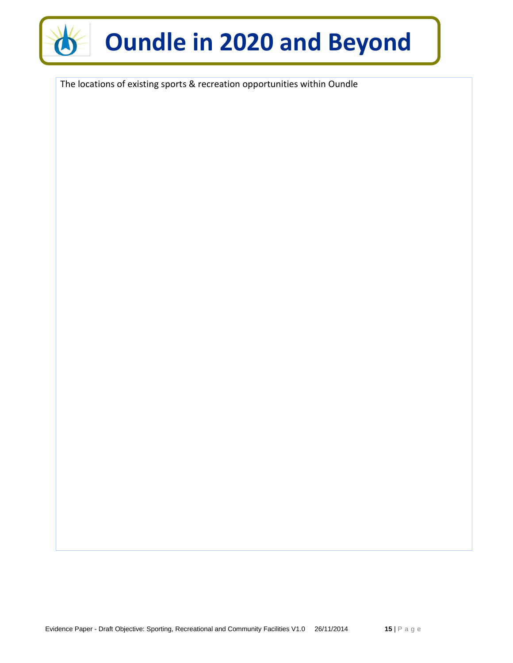

The locations of existing sports & recreation opportunities within Oundle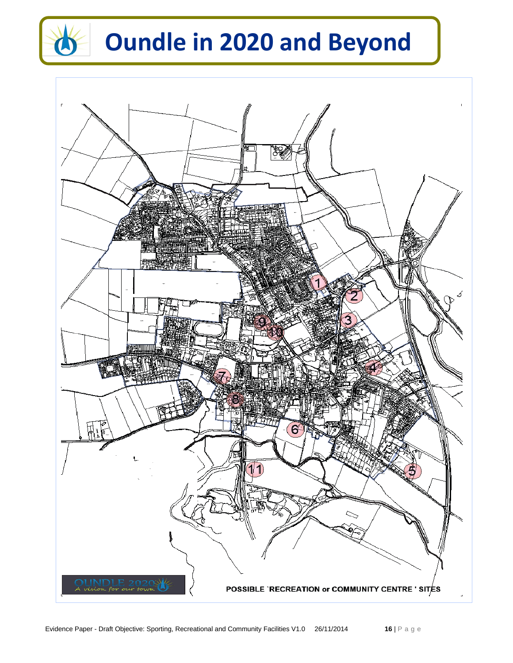

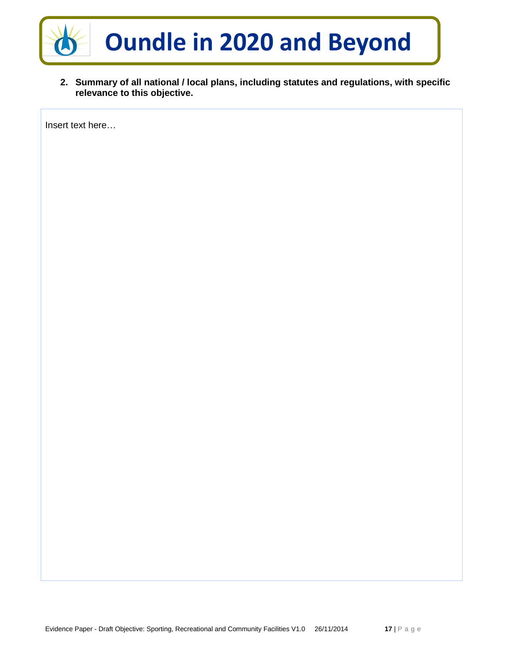

2. Summary of all national / local plans, including statutes and regulations, with specific<br>relevance to this objective **Plan relevance to this objective.**

Insert text here…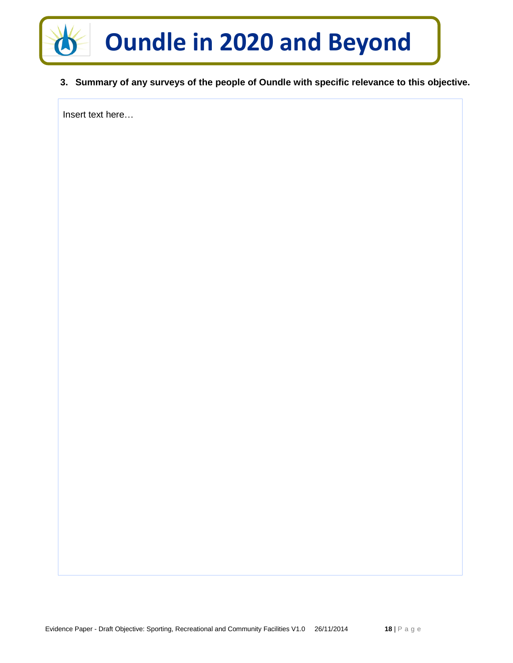

**Supported by our Neighbourhood 3. Summary of any surveys of the people of Oundle with specific relevance to this objective.**

**Plan** Insert text here…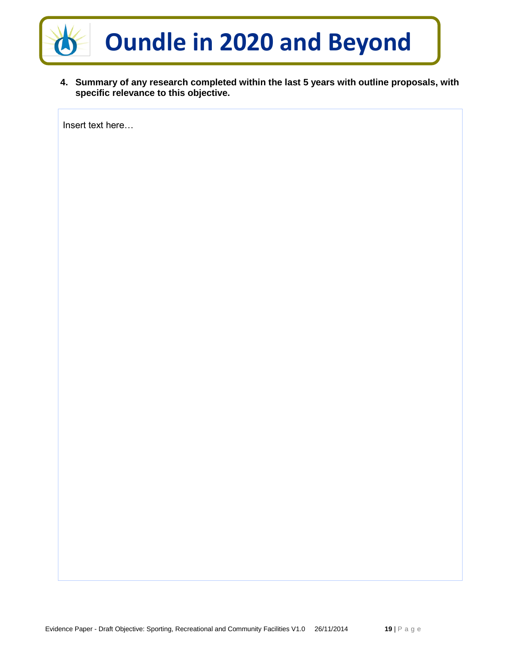

4. Summary of any research completed within the last 5 years with outline proposals, with <br>specific relevance to this objective **Plan specific relevance to this objective.**

Insert text here…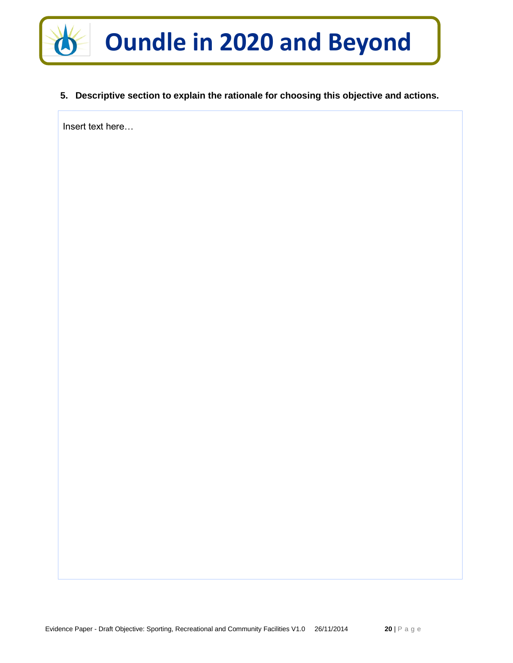

### **Supported by our Neighbourhood Plan 5. Descriptive section to explain the rationale for choosing this objective and actions.**

Insert text here…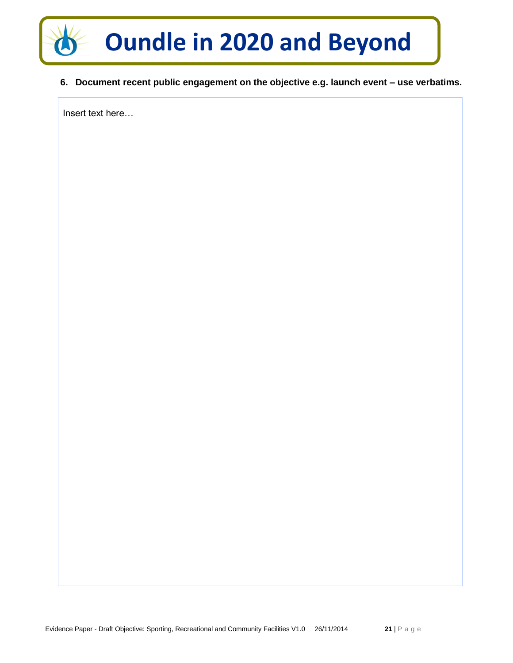

6. Document recent public engagement on the objective e.g. launch event – use verbatims.

**Plan** Insert text here…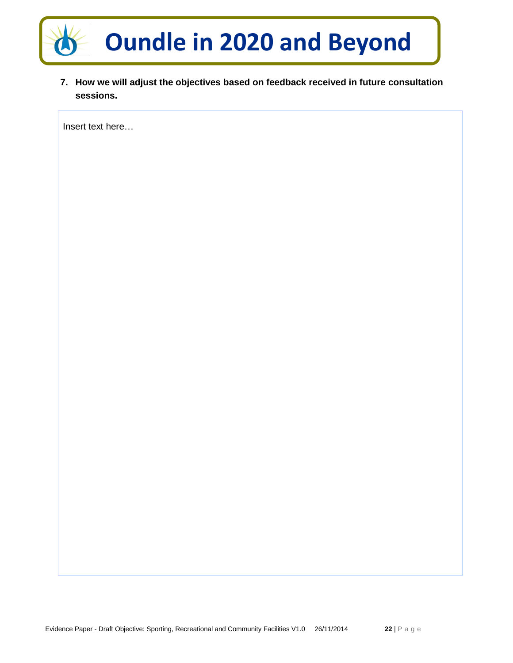

7. How we will adjust the objectives based on feedback received in future consultation **by Plan sessions.**

Insert text here…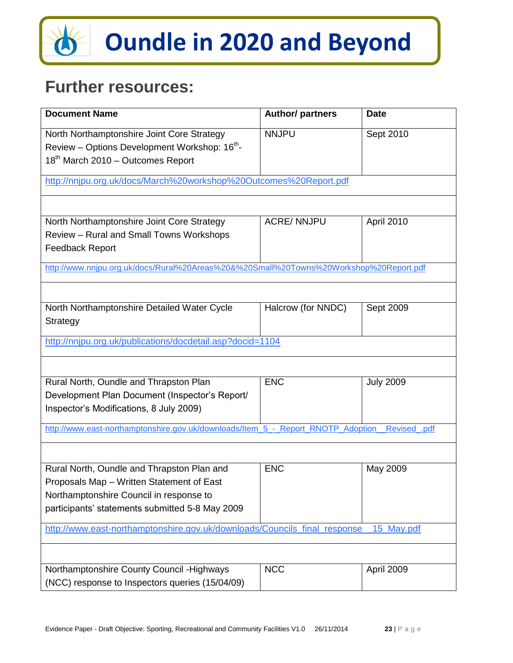

### **Further resources:**

| <b>Document Name</b>                                                                             | <b>Author/partners</b> | <b>Date</b>      |  |  |  |  |  |  |  |
|--------------------------------------------------------------------------------------------------|------------------------|------------------|--|--|--|--|--|--|--|
| North Northamptonshire Joint Core Strategy                                                       | <b>NNJPU</b>           | Sept 2010        |  |  |  |  |  |  |  |
| Review - Options Development Workshop: 16 <sup>th</sup> -                                        |                        |                  |  |  |  |  |  |  |  |
| 18 <sup>th</sup> March 2010 - Outcomes Report                                                    |                        |                  |  |  |  |  |  |  |  |
| http://nnjpu.org.uk/docs/March%20workshop%20Outcomes%20Report.pdf                                |                        |                  |  |  |  |  |  |  |  |
|                                                                                                  |                        |                  |  |  |  |  |  |  |  |
| North Northamptonshire Joint Core Strategy                                                       | <b>ACRE/ NNJPU</b>     | April 2010       |  |  |  |  |  |  |  |
| Review - Rural and Small Towns Workshops                                                         |                        |                  |  |  |  |  |  |  |  |
| <b>Feedback Report</b>                                                                           |                        |                  |  |  |  |  |  |  |  |
| http://www.nnjpu.org.uk/docs/Rural%20Areas%20&%20Small%20Towns%20Workshop%20Report.pdf           |                        |                  |  |  |  |  |  |  |  |
|                                                                                                  |                        |                  |  |  |  |  |  |  |  |
| North Northamptonshire Detailed Water Cycle<br>Strategy                                          | Halcrow (for NNDC)     | Sept 2009        |  |  |  |  |  |  |  |
|                                                                                                  |                        |                  |  |  |  |  |  |  |  |
| http://nnjpu.org.uk/publications/docdetail.asp?docid=1104                                        |                        |                  |  |  |  |  |  |  |  |
|                                                                                                  |                        |                  |  |  |  |  |  |  |  |
| Rural North, Oundle and Thrapston Plan                                                           | <b>ENC</b>             | <b>July 2009</b> |  |  |  |  |  |  |  |
| Development Plan Document (Inspector's Report/                                                   |                        |                  |  |  |  |  |  |  |  |
| Inspector's Modifications, 8 July 2009)                                                          |                        |                  |  |  |  |  |  |  |  |
| http://www.east-northamptonshire.gov.uk/downloads/ltem_5_-_Report_RNOTP_Adoption<br>Revised .pdf |                        |                  |  |  |  |  |  |  |  |
|                                                                                                  |                        |                  |  |  |  |  |  |  |  |
| Rural North, Oundle and Thrapston Plan and                                                       | <b>ENC</b>             | May 2009         |  |  |  |  |  |  |  |
| Proposals Map - Written Statement of East                                                        |                        |                  |  |  |  |  |  |  |  |
| Northamptonshire Council in response to                                                          |                        |                  |  |  |  |  |  |  |  |
| participants' statements submitted 5-8 May 2009                                                  |                        |                  |  |  |  |  |  |  |  |
| http://www.east-northamptonshire.gov.uk/downloads/Councils_final_response                        |                        | 15_May.pdf       |  |  |  |  |  |  |  |
|                                                                                                  |                        |                  |  |  |  |  |  |  |  |
| Northamptonshire County Council - Highways                                                       | <b>NCC</b>             | April 2009       |  |  |  |  |  |  |  |
| (NCC) response to Inspectors queries (15/04/09)                                                  |                        |                  |  |  |  |  |  |  |  |